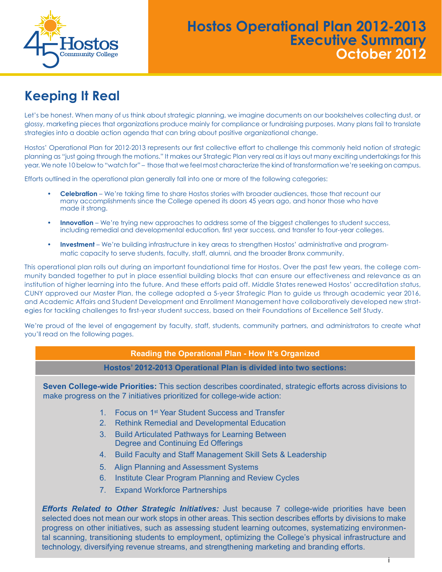

## **Hostos Operational Plan 2012-2013 Executive Summary October 2012**

# **Keeping It Real**

Let's be honest. When many of us think about strategic planning, we imagine documents on our bookshelves collecting dust, or glossy, marketing pieces that organizations produce mainly for compliance or fundraising purposes. Many plans fail to translate strategies into a doable action agenda that can bring about positive organizational change.

Hostos' Operational Plan for 2012-2013 represents our first collective effort to challenge this commonly held notion of strategic planning as "just going through the motions." It makes our Strategic Plan very real as it lays out many exciting undertakings for this year. We note 10 below to "watch for" – those that we feel most characterize the kind of transformation we're seeking on campus.

Efforts outlined in the operational plan generally fall into one or more of the following categories:

- **Celebration** We're taking time to share Hostos stories with broader audiences, those that recount our many accomplishments since the College opened its doors 45 years ago, and honor those who have made it strong.
- **Innovation** We're trying new approaches to address some of the biggest challenges to student success, including remedial and developmental education, first year success, and transfer to four-year colleges.
- **Investment** We're building infrastructure in key areas to strengthen Hostos' administrative and programmatic capacity to serve students, faculty, staff, alumni, and the broader Bronx community.

This operational plan rolls out during an important foundational time for Hostos. Over the past few years, the college community banded together to put in place essential building blocks that can ensure our effectiveness and relevance as an institution of higher learning into the future. And these efforts paid off. Middle States renewed Hostos' accreditation status, CUNY approved our Master Plan, the college adopted a 5-year Strategic Plan to guide us through academic year 2016, and Academic Affairs and Student Development and Enrollment Management have collaboratively developed new strategies for tackling challenges to first-year student success, based on their Foundations of Excellence Self Study.

We're proud of the level of engagement by faculty, staff, students, community partners, and administrators to create what you'll read on the following pages.

| by integration interfollowing pages. |                                                                                                                                                                                                                                                                                                                                                                                                                                                                                                                                          |
|--------------------------------------|------------------------------------------------------------------------------------------------------------------------------------------------------------------------------------------------------------------------------------------------------------------------------------------------------------------------------------------------------------------------------------------------------------------------------------------------------------------------------------------------------------------------------------------|
|                                      | <b>Reading the Operational Plan - How It's Organized</b>                                                                                                                                                                                                                                                                                                                                                                                                                                                                                 |
|                                      | Hostos' 2012-2013 Operational Plan is divided into two sections:                                                                                                                                                                                                                                                                                                                                                                                                                                                                         |
|                                      | Seven College-wide Priorities: This section describes coordinated, strategic efforts across divisions to<br>make progress on the 7 initiatives prioritized for college-wide action:                                                                                                                                                                                                                                                                                                                                                      |
|                                      | Focus on 1 <sup>st</sup> Year Student Success and Transfer<br>$1_{-}$<br><b>Rethink Remedial and Developmental Education</b><br>2.                                                                                                                                                                                                                                                                                                                                                                                                       |
|                                      | <b>Build Articulated Pathways for Learning Between</b><br>3.<br>Degree and Continuing Ed Offerings                                                                                                                                                                                                                                                                                                                                                                                                                                       |
|                                      | Build Faculty and Staff Management Skill Sets & Leadership<br>4.                                                                                                                                                                                                                                                                                                                                                                                                                                                                         |
|                                      | Align Planning and Assessment Systems<br>5.                                                                                                                                                                                                                                                                                                                                                                                                                                                                                              |
|                                      | Institute Clear Program Planning and Review Cycles<br>6.                                                                                                                                                                                                                                                                                                                                                                                                                                                                                 |
|                                      | <b>Expand Workforce Partnerships</b><br>7.                                                                                                                                                                                                                                                                                                                                                                                                                                                                                               |
|                                      | <b>Efforts Related to Other Strategic Initiatives:</b> Just because 7 college-wide priorities have been<br>selected does not mean our work stops in other areas. This section describes efforts by divisions to make<br>progress on other initiatives, such as assessing student learning outcomes, systematizing environmen-<br>tal scanning, transitioning students to employment, optimizing the College's physical infrastructure and<br>technology, diversifying revenue streams, and strengthening marketing and branding efforts. |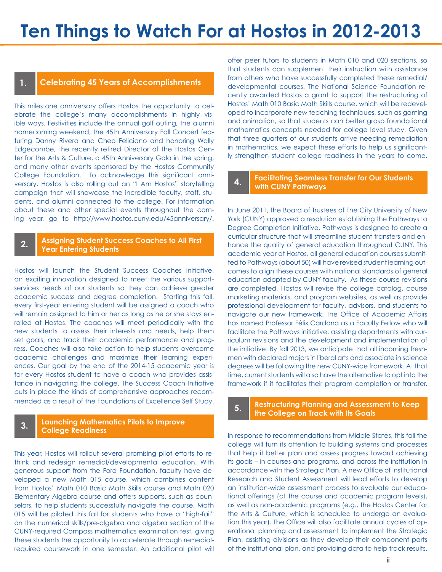## **1. Celebrating 45 Years of Accomplishments**

This milestone anniversary offers Hostos the opportunity to celebrate the college's many accomplishments in highly visible ways. Festivities include the annual golf outing, the alumni homecoming weekend, the 45th Anniversary Fall Concert featuring Danny Rivera and Cheo Feliciano and honoring Wally Edgecombe, the recently retired Director of the Hostos Center for the Arts & Culture, a 45th Anniversary Gala in the spring, and many other events sponsored by the Hostos Community College Foundation. To acknowledge this significant anniversary, Hostos is also rolling out an "I Am Hostos" storytelling campaign that will showcase the incredible faculty, staff, students, and alumni connected to the college. For information about these and other special events throughout the coming year, go to http://www.hostos.cuny.edu/45anniversary/.

## **2. Assigning Student Success Coaches to All First Year Entering Students**

Hostos will launch the Student Success Coaches Initiative, an exciting innovation designed to meet the various supportservices needs of our students so they can achieve greater academic success and degree completion. Starting this fall, every first-year entering student will be assigned a coach who will remain assigned to him or her as long as he or she stays enrolled at Hostos. The coaches will meet periodically with the new students to assess their interests and needs, help them set goals, and track their academic performance and progress. Coaches will also take action to help students overcome academic challenges and maximize their learning experiences. Our goal by the end of the 2014-15 academic year is for every Hostos student to have a coach who provides assistance in navigating the college. The Success Coach Initiative puts in place the kinds of comprehensive approaches recommended as a result of the Foundations of Excellence Self Study.

## **3. Launching Mathematics Pilots to Improve College Readiness**

This year, Hostos will rollout several promising pilot efforts to rethink and redesign remedial/developmental education. With generous support from the Ford Foundation, faculty have developed a new Math 015 course, which combines content from Hostos' Math 010 Basic Math Skills course and Math 020 Elementary Algebra course and offers supports, such as counselors, to help students successfully navigate the course. Math 015 will be piloted this fall for students who have a "high-fail" on the numerical skills/pre-algebra and algebra section of the CUNY-required Compass mathematics examination test, giving these students the opportunity to accelerate through remedialrequired coursework in one semester. An additional pilot will

offer peer tutors to students in Math 010 and 020 sections, so that students can supplement their instruction with assistance from others who have successfully completed these remedial/ developmental courses. The National Science Foundation recently awarded Hostos a grant to support the restructuring of Hostos' Math 010 Basic Math Skills course, which will be redeveloped to incorporate new teaching techniques, such as gaming and animation, so that students can better grasp foundational mathematics concepts needed for college level study. Given that three-quarters of our students arrive needing remediation in mathematics, we expect these efforts to help us significantly strengthen student college readiness in the years to come.

## **4. Facilitating Seamless Transfer for Our Students with CUNY Pathways**

In June 2011, the Board of Trustees of The City University of New York (CUNY) approved a resolution establishing the Pathways to Degree Completion Initiative. Pathways is designed to create a curricular structure that will streamline student transfers and enhance the quality of general education throughout CUNY. This academic year at Hostos, all general education courses submitted to Pathways (about 50) will have revised student learning outcomes to align these courses with national standards of general education adopted by CUNY faculty. As these course revisions are completed, Hostos will revise the college catalog, course marketing materials, and program websites, as well as provide professional development for faculty, advisors, and students to navigate our new framework. The Office of Academic Affairs has named Professor Félix Cardona as a Faculty Fellow who will facilitate the Pathways initiative, assisting departments with curriculum revisions and the development and implementation of the initiative. By fall 2013, we anticipate that all incoming freshmen with declared majors in liberal arts and associate in science degrees will be following the new CUNY-wide framework. At that time, current students will also have the alternative to opt into the framework if it facilitates their program completion or transfer.

## **5. Restructuring Planning and Assessment to Keep the College on Track with Its Goals**

In response to recommendations from Middle States, this fall the college will turn its attention to building systems and processes that help it better plan and assess progress toward achieving its goals – in courses and programs, and across the institution in accordance with the Strategic Plan. A new Office of Institutional Research and Student Assessment will lead efforts to develop an institution-wide assessment process to evaluate our educational offerings (at the course and academic program levels), as well as non-academic programs (e.g., the Hostos Center for the Arts & Culture, which is scheduled to undergo an evaluation this year). The Office will also facilitate annual cycles of operational planning and assessment to implement the Strategic Plan, assisting divisions as they develop their component parts of the institutional plan, and providing data to help track results.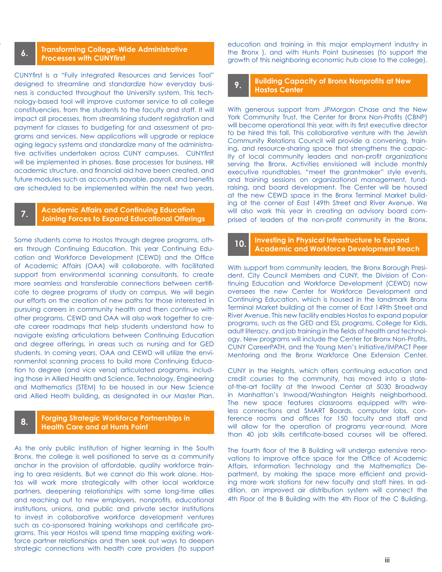#### **6. Transforming College-Wide Administrative Processes with CUNYfirst**

CUNYfirst is a "Fully Integrated Resources and Services Tool" designed to streamline and standardize how everyday business is conducted throughout the University system. This technology-based tool will improve customer service to all college constituencies, from the students to the faculty and staff. It will impact all processes, from streamlining student registration and payment for classes to budgeting for and assessment of programs and services. New applications will upgrade or replace aging legacy systems and standardize many of the administrative activities undertaken across CUNY campuses. CUNYfirst will be implemented in phases. Base processes for business, HR academic structure, and financial aid have been created, and future modules such as accounts payable, payroll, and benefits are scheduled to be implemented within the next two years.

## **7. Academic Affairs and Continuing Education Joining Forces to Expand Educational Offerings**

Some students come to Hostos through degree programs, others through Continuing Education. This year Continuing Education and Workforce Development (CEWD) and the Office of Academic Affairs (OAA) will collaborate, with facilitated support from environmental scanning consultants, to create more seamless and transferable connections between certificate to degree programs of study on campus. We will begin our efforts on the creation of new paths for those interested in pursuing careers in community health and then continue with other programs. CEWD and OAA will also work together to create career roadmaps that help students understand how to navigate existing articulations between Continuing Education and degree offerings, in areas such as nursing and for GED students. In coming years, OAA and CEWD will utilize the environmental scanning process to build more Continuing Education to degree (and vice versa) articulated programs, including those in Allied Health and Science, Technology, Engineering and Mathematics (STEM) to be housed in our New Science and Allied Heath building, as designated in our Master Plan.

## **8. Forging Strategic Workforce Partnerships in Health Care and at Hunts Point**

As the only public institution of higher learning in the South Bronx, the college is well positioned to serve as a community anchor in the provision of affordable, quality workforce training to area residents. But we cannot do this work alone. Hostos will work more strategically with other local workforce partners, deepening relationships with some long-time allies and reaching out to new employers, nonprofits, educational institutions, unions, and public and private sector institutions to invest in collaborative workforce development ventures such as co-sponsored training workshops and certificate programs. This year Hostos will spend time mapping existing workforce partner relationships and then seek out ways to deepen strategic connections with health care providers (to support

education and training in this major employment industry in the Bronx ), and with Hunts Point businesses (to support the growth of this neighboring economic hub close to the college).

#### **9. Building Capacity of Bronx Nonprofits at New Hostos Center**

With generous support from JPMorgan Chase and the New York Community Trust, the Center for Bronx Non-Profits (CBNP) will become operational this year, with its first executive director to be hired this fall. This collaborative venture with the Jewish Community Relations Council will provide a convening, training, and resource-sharing space that strengthens the capacity of local community leaders and non-profit organizations serving the Bronx. Activities envisioned will include monthly executive roundtables, "meet the grantmaker" style events, and training sessions on organizational management, fundraising, and board development. The Center will be housed at the new CEWD space in the Bronx Terminal Market building at the corner of East 149th Street and River Avenue. We will also work this year in creating an advisory board comprised of leaders of the non-profit community in the Bronx.

## **10. Investing in Physical Infrastructure to Expand Academic and Workforce Development Reach**

With support from community leaders, the Bronx Borough President, City Council Members and CUNY, the Division of Continuing Education and Workforce Development (CEWD) now oversees the new Center for Workforce Development and Continuing Education, which is housed in the landmark Bronx Terminal Market building at the corner of East 149th Street and River Avenue. This new facility enables Hostos to expand popular programs, such as the GED and ESL programs, College for Kids, adult literacy, and job training in the fields of health and technology. New programs will include the Center for Bronx Non-Profits, CUNY CareerPATH, and the Young Men's Initiative/IMPACT Peer Mentoring and the Bronx Workforce One Extension Center.

CUNY in the Heights, which offers continuing education and credit courses to the community, has moved into a stateof-the-art facility at the Inwood Center at 5030 Broadway in Manhattan's Inwood/Washington Heights neighborhood. The new space features classrooms equipped with wireless connections and SMART Boards, computer labs, conference rooms and offices for 150 faculty and staff and will allow for the operation of programs year-round. More than 40 job skills certificate-based courses will be offered.

The fourth floor of the B Building will undergo extensive renovations to improve office space for the Office of Academic Affairs, Information Technology and the Mathematics Department, by making the space more efficient and providing more work stations for new faculty and staff hires. In addition, an improved air distribution system will connect the 4th Floor of the B Building with the 4th Floor of the C Building.